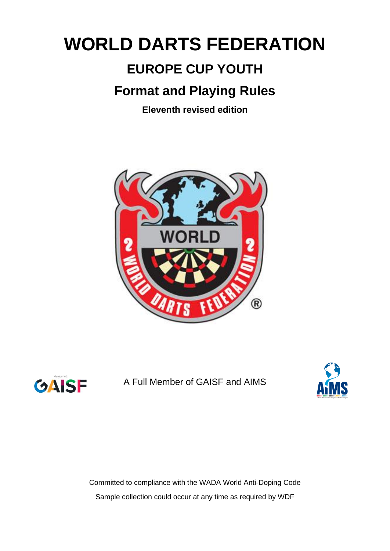# **WORLD DARTS FEDERATION**

# **EUROPE CUP YOUTH**

# **Format and Playing Rules**

**Eleventh revised edition**





A Full Member of GAISF and AIMS



Committed to compliance with the WADA World Anti-Doping Code Sample collection could occur at any time as required by WDF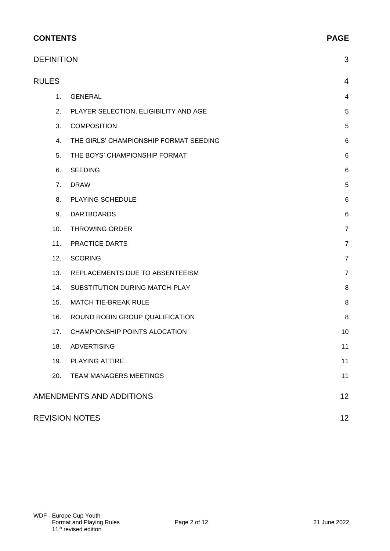| <b>CONTENTS</b>   | <b>PAGE</b>                            |                |
|-------------------|----------------------------------------|----------------|
| <b>DEFINITION</b> |                                        | 3              |
| <b>RULES</b>      |                                        | $\overline{4}$ |
| 1.                | <b>GENERAL</b>                         | $\overline{4}$ |
| 2.                | PLAYER SELECTION, ELIGIBILITY AND AGE  | 5              |
| 3.                | <b>COMPOSITION</b>                     | 5              |
| 4.                | THE GIRLS' CHAMPIONSHIP FORMAT SEEDING | 6              |
| 5.                | THE BOYS' CHAMPIONSHIP FORMAT          | $\,6$          |
| 6.                | <b>SEEDING</b>                         | 6              |
| 7.                | <b>DRAW</b>                            | $\overline{5}$ |
| 8.                | PLAYING SCHEDULE                       | 6              |
| 9.                | <b>DARTBOARDS</b>                      | 6              |
| 10.               | <b>THROWING ORDER</b>                  | $\overline{7}$ |
| 11.               | PRACTICE DARTS                         | $\overline{7}$ |
| 12.               | <b>SCORING</b>                         | $\overline{7}$ |
| 13.               | REPLACEMENTS DUE TO ABSENTEEISM        | $\overline{7}$ |
| 14.               | SUBSTITUTION DURING MATCH-PLAY         | 8              |
| 15.               | <b>MATCH TIE-BREAK RULE</b>            | 8              |
| 16.               | ROUND ROBIN GROUP QUALIFICATION        | 8              |
| 17.               | CHAMPIONSHIP POINTS ALOCATION          | 10             |
| 18.               | <b>ADVERTISING</b>                     | 11             |
| 19.               | <b>PLAYING ATTIRE</b>                  | 11             |
| 20.               | <b>TEAM MANAGERS MEETINGS</b>          | 11             |
|                   | AMENDMENTS AND ADDITIONS               | 12             |
|                   | <b>REVISION NOTES</b>                  | 12             |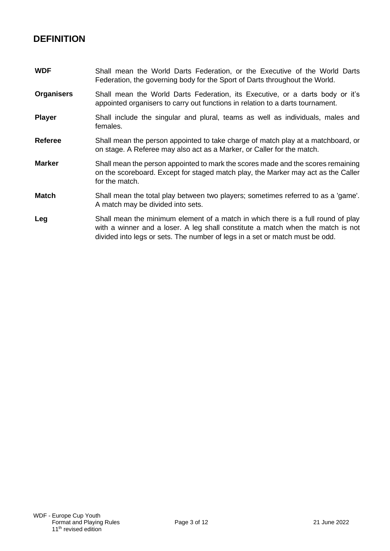# **DEFINITION**

- **WDF** Shall mean the World Darts Federation, or the Executive of the World Darts Federation, the governing body for the Sport of Darts throughout the World.
- **Organisers** Shall mean the World Darts Federation, its Executive, or a darts body or it's appointed organisers to carry out functions in relation to a darts tournament.
- **Player** Shall include the singular and plural, teams as well as individuals, males and females.
- **Referee** Shall mean the person appointed to take charge of match play at a matchboard, or on stage. A Referee may also act as a Marker, or Caller for the match.
- **Marker** Shall mean the person appointed to mark the scores made and the scores remaining on the scoreboard. Except for staged match play, the Marker may act as the Caller for the match.
- **Match** Shall mean the total play between two players; sometimes referred to as a 'game'. A match may be divided into sets.
- **Leg** Shall mean the minimum element of a match in which there is a full round of play with a winner and a loser. A leg shall constitute a match when the match is not divided into legs or sets. The number of legs in a set or match must be odd.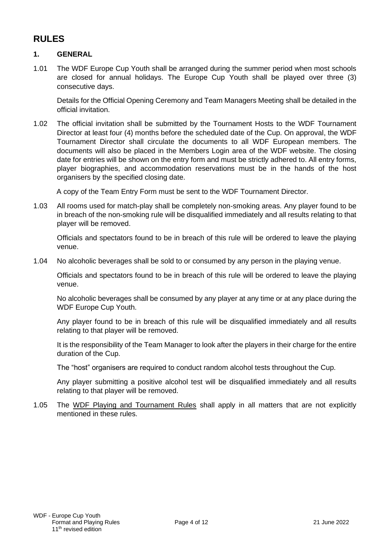# **RULES**

#### **1. GENERAL**

1.01 The WDF Europe Cup Youth shall be arranged during the summer period when most schools are closed for annual holidays. The Europe Cup Youth shall be played over three (3) consecutive days.

Details for the Official Opening Ceremony and Team Managers Meeting shall be detailed in the official invitation.

1.02 The official invitation shall be submitted by the Tournament Hosts to the WDF Tournament Director at least four (4) months before the scheduled date of the Cup. On approval, the WDF Tournament Director shall circulate the documents to all WDF European members. The documents will also be placed in the Members Login area of the WDF website. The closing date for entries will be shown on the entry form and must be strictly adhered to. All entry forms, player biographies, and accommodation reservations must be in the hands of the host organisers by the specified closing date.

A copy of the Team Entry Form must be sent to the WDF Tournament Director.

1.03 All rooms used for match-play shall be completely non-smoking areas. Any player found to be in breach of the non-smoking rule will be disqualified immediately and all results relating to that player will be removed.

Officials and spectators found to be in breach of this rule will be ordered to leave the playing venue.

1.04 No alcoholic beverages shall be sold to or consumed by any person in the playing venue.

Officials and spectators found to be in breach of this rule will be ordered to leave the playing venue.

No alcoholic beverages shall be consumed by any player at any time or at any place during the WDF Europe Cup Youth.

Any player found to be in breach of this rule will be disqualified immediately and all results relating to that player will be removed.

It is the responsibility of the Team Manager to look after the players in their charge for the entire duration of the Cup.

The "host" organisers are required to conduct random alcohol tests throughout the Cup.

Any player submitting a positive alcohol test will be disqualified immediately and all results relating to that player will be removed.

1.05 The [WDF Playing and Tournament Rules](https://www.dartswdf.com/rules/) shall apply in all matters that are not explicitly mentioned in these rules.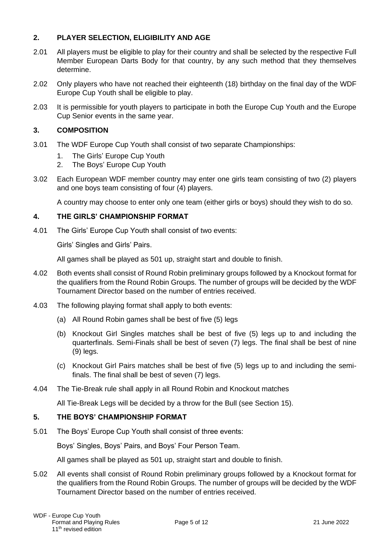#### **2. PLAYER SELECTION, ELIGIBILITY AND AGE**

- 2.01 All players must be eligible to play for their country and shall be selected by the respective Full Member European Darts Body for that country, by any such method that they themselves determine.
- 2.02 Only players who have not reached their eighteenth (18) birthday on the final day of the WDF Europe Cup Youth shall be eligible to play.
- 2.03 It is permissible for youth players to participate in both the Europe Cup Youth and the Europe Cup Senior events in the same year.

#### **3. COMPOSITION**

- 3.01 The WDF Europe Cup Youth shall consist of two separate Championships:
	- 1. The Girls' Europe Cup Youth
	- 2. The Boys' Europe Cup Youth
- 3.02 Each European WDF member country may enter one girls team consisting of two (2) players and one boys team consisting of four (4) players.

A country may choose to enter only one team (either girls or boys) should they wish to do so.

#### **4. THE GIRLS' CHAMPIONSHIP FORMAT**

4.01 The Girls' Europe Cup Youth shall consist of two events:

Girls' Singles and Girls' Pairs.

All games shall be played as 501 up, straight start and double to finish.

- 4.02 Both events shall consist of Round Robin preliminary groups followed by a Knockout format for the qualifiers from the Round Robin Groups. The number of groups will be decided by the WDF Tournament Director based on the number of entries received.
- 4.03 The following playing format shall apply to both events:
	- (a) All Round Robin games shall be best of five (5) legs
	- (b) Knockout Girl Singles matches shall be best of five (5) legs up to and including the quarterfinals. Semi-Finals shall be best of seven (7) legs. The final shall be best of nine (9) legs.
	- (c) Knockout Girl Pairs matches shall be best of five (5) legs up to and including the semifinals. The final shall be best of seven (7) legs.
- 4.04 The Tie-Break rule shall apply in all Round Robin and Knockout matches

All Tie-Break Legs will be decided by a throw for the Bull (see Section 15).

#### **5. THE BOYS' CHAMPIONSHIP FORMAT**

5.01 The Boys' Europe Cup Youth shall consist of three events:

Boys' Singles, Boys' Pairs, and Boys' Four Person Team.

All games shall be played as 501 up, straight start and double to finish.

5.02 All events shall consist of Round Robin preliminary groups followed by a Knockout format for the qualifiers from the Round Robin Groups. The number of groups will be decided by the WDF Tournament Director based on the number of entries received.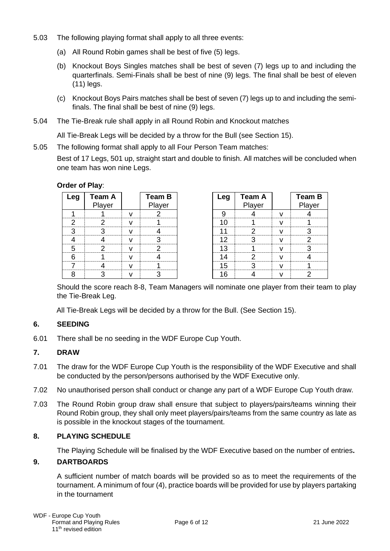- 5.03 The following playing format shall apply to all three events:
	- (a) All Round Robin games shall be best of five (5) legs.
	- (b) Knockout Boys Singles matches shall be best of seven (7) legs up to and including the quarterfinals. Semi-Finals shall be best of nine (9) legs. The final shall be best of eleven (11) legs.
	- (c) Knockout Boys Pairs matches shall be best of seven (7) legs up to and including the semifinals. The final shall be best of nine (9) legs.
- 5.04 The Tie-Break rule shall apply in all Round Robin and Knockout matches

All Tie-Break Legs will be decided by a throw for the Bull (see Section 15).

5.05 The following format shall apply to all Four Person Team matches:

Best of 17 Legs, 501 up, straight start and double to finish. All matches will be concluded when one team has won nine Legs.

#### **Order of Play**:

| -ea | <b>Team A</b><br>Player | <b>Team B</b><br>Player | -eg l | <b>Team A</b><br>Player | <b>Team B</b><br>Player |
|-----|-------------------------|-------------------------|-------|-------------------------|-------------------------|
|     |                         |                         |       |                         |                         |
|     |                         |                         |       |                         |                         |
|     |                         |                         |       |                         |                         |
|     |                         |                         |       |                         |                         |
|     |                         |                         |       |                         |                         |
|     |                         |                         |       |                         |                         |
|     |                         |                         |       |                         |                         |
|     |                         |                         |       |                         |                         |

Should the score reach 8-8, Team Managers will nominate one player from their team to play the Tie-Break Leg.

All Tie-Break Legs will be decided by a throw for the Bull. (See Section 15).

#### **6. SEEDING**

6.01 There shall be no seeding in the WDF Europe Cup Youth.

#### **7. DRAW**

- 7.01 The draw for the WDF Europe Cup Youth is the responsibility of the WDF Executive and shall be conducted by the person/persons authorised by the WDF Executive only.
- 7.02 No unauthorised person shall conduct or change any part of a WDF Europe Cup Youth draw.
- 7.03 The Round Robin group draw shall ensure that subject to players/pairs/teams winning their Round Robin group, they shall only meet players/pairs/teams from the same country as late as is possible in the knockout stages of the tournament.

#### **8. PLAYING SCHEDULE**

The Playing Schedule will be finalised by the WDF Executive based on the number of entries**.**

#### **9. DARTBOARDS**

A sufficient number of match boards will be provided so as to meet the requirements of the tournament. A minimum of four (4), practice boards will be provided for use by players partaking in the tournament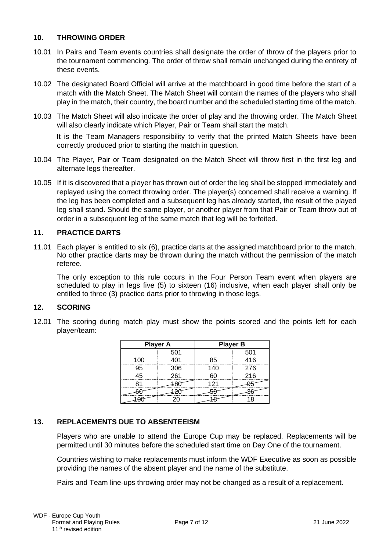#### **10. THROWING ORDER**

- 10.01 In Pairs and Team events countries shall designate the order of throw of the players prior to the tournament commencing. The order of throw shall remain unchanged during the entirety of these events.
- 10.02 The designated Board Official will arrive at the matchboard in good time before the start of a match with the Match Sheet. The Match Sheet will contain the names of the players who shall play in the match, their country, the board number and the scheduled starting time of the match.
- 10.03 The Match Sheet will also indicate the order of play and the throwing order. The Match Sheet will also clearly indicate which Player, Pair or Team shall start the match.

It is the Team Managers responsibility to verify that the printed Match Sheets have been correctly produced prior to starting the match in question.

- 10.04 The Player, Pair or Team designated on the Match Sheet will throw first in the first leg and alternate legs thereafter.
- 10.05 If it is discovered that a player has thrown out of order the leg shall be stopped immediately and replayed using the correct throwing order. The player(s) concerned shall receive a warning. If the leg has been completed and a subsequent leg has already started, the result of the played leg shall stand. Should the same player, or another player from that Pair or Team throw out of order in a subsequent leg of the same match that leg will be forfeited.

#### **11. PRACTICE DARTS**

11.01 Each player is entitled to six (6), practice darts at the assigned matchboard prior to the match. No other practice darts may be thrown during the match without the permission of the match referee.

The only exception to this rule occurs in the Four Person Team event when players are scheduled to play in legs five (5) to sixteen (16) inclusive, when each player shall only be entitled to three (3) practice darts prior to throwing in those legs.

#### **12. SCORING**

12.01 The scoring during match play must show the points scored and the points left for each player/team:

| <b>Player A</b>                      | <b>Player B</b> |         |  |
|--------------------------------------|-----------------|---------|--|
|                                      |                 |         |  |
|                                      |                 |         |  |
| ገፍ                                   |                 | 276<br> |  |
| PG 1<br>                             |                 | 21 R    |  |
| <br>.<br>,,,,,,,,,,,,,,,,,,,,,,,,,,, |                 |         |  |
| <b>BELLET LESSEN</b>                 | .               | .       |  |
|                                      |                 |         |  |

#### **13. REPLACEMENTS DUE TO ABSENTEEISM**

Players who are unable to attend the Europe Cup may be replaced. Replacements will be permitted until 30 minutes before the scheduled start time on Day One of the tournament.

Countries wishing to make replacements must inform the WDF Executive as soon as possible providing the names of the absent player and the name of the substitute.

Pairs and Team line-ups throwing order may not be changed as a result of a replacement.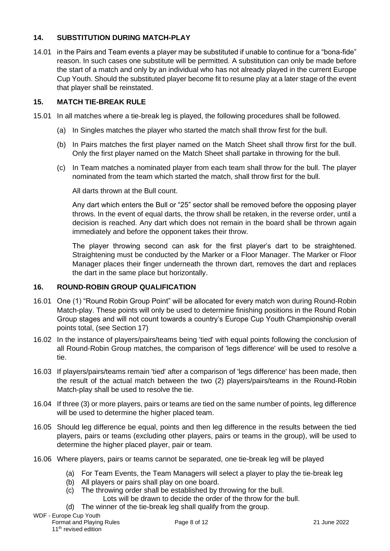#### **14. SUBSTITUTION DURING MATCH-PLAY**

14.01 in the Pairs and Team events a player may be substituted if unable to continue for a "bona-fide" reason. In such cases one substitute will be permitted. A substitution can only be made before the start of a match and only by an individual who has not already played in the current Europe Cup Youth. Should the substituted player become fit to resume play at a later stage of the event that player shall be reinstated.

#### **15. MATCH TIE-BREAK RULE**

- 15.01 In all matches where a tie-break leg is played, the following procedures shall be followed.
	- (a) In Singles matches the player who started the match shall throw first for the bull.
	- (b) In Pairs matches the first player named on the Match Sheet shall throw first for the bull. Only the first player named on the Match Sheet shall partake in throwing for the bull.
	- (c) In Team matches a nominated player from each team shall throw for the bull. The player nominated from the team which started the match, shall throw first for the bull.

All darts thrown at the Bull count.

Any dart which enters the Bull or "25" sector shall be removed before the opposing player throws. In the event of equal darts, the throw shall be retaken, in the reverse order, until a decision is reached. Any dart which does not remain in the board shall be thrown again immediately and before the opponent takes their throw.

The player throwing second can ask for the first player's dart to be straightened. Straightening must be conducted by the Marker or a Floor Manager. The Marker or Floor Manager places their finger underneath the thrown dart, removes the dart and replaces the dart in the same place but horizontally.

#### **16. ROUND-ROBIN GROUP QUALIFICATION**

- 16.01 One (1) "Round Robin Group Point" will be allocated for every match won during Round-Robin Match-play. These points will only be used to determine finishing positions in the Round Robin Group stages and will not count towards a country's Europe Cup Youth Championship overall points total, (see Section 17)
- 16.02 In the instance of players/pairs/teams being 'tied' with equal points following the conclusion of all Round-Robin Group matches, the comparison of 'legs difference' will be used to resolve a tie.
- 16.03 If players/pairs/teams remain 'tied' after a comparison of 'legs difference' has been made, then the result of the actual match between the two (2) players/pairs/teams in the Round-Robin Match-play shall be used to resolve the tie.
- 16.04 If three (3) or more players, pairs or teams are tied on the same number of points, leg difference will be used to determine the higher placed team.
- 16.05 Should leg difference be equal, points and then leg difference in the results between the tied players, pairs or teams (excluding other players, pairs or teams in the group), will be used to determine the higher placed player, pair or team.
- 16.06 Where players, pairs or teams cannot be separated, one tie-break leg will be played
	- (a) For Team Events, the Team Managers will select a player to play the tie-break leg
	- (b) All players or pairs shall play on one board.
	- (c) The throwing order shall be established by throwing for the bull.
		- Lots will be drawn to decide the order of the throw for the bull.
	- (d) The winner of the tie-break leg shall qualify from the group.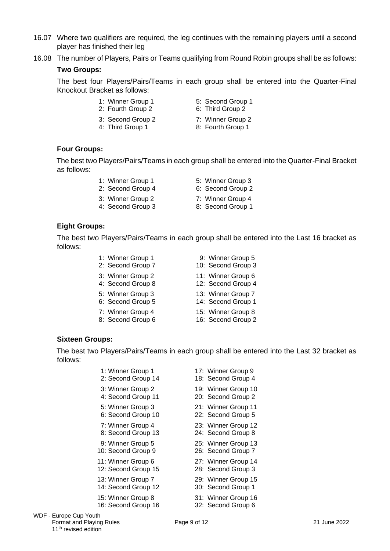- 16.07 Where two qualifiers are required, the leg continues with the remaining players until a second player has finished their leg
- 16.08 The number of Players, Pairs or Teams qualifying from Round Robin groups shall be as follows:

#### **Two Groups:**

The best four Players/Pairs/Teams in each group shall be entered into the Quarter-Final Knockout Bracket as follows:

- 1: Winner Group 1
- 2: Fourth Group 2
- 5: Second Group 1 6: Third Group 2
- 
- 3: Second Group 2 4: Third Group 1
- 7: Winner Group 2
- 8: Fourth Group 1

#### **Four Groups:**

The best two Players/Pairs/Teams in each group shall be entered into the Quarter-Final Bracket as follows:

- 1: Winner Group 1
- 2: Second Group 4
- 3: Winner Group 2
- 4: Second Group 3
- 5: Winner Group 3
- 6: Second Group 2
	- 7: Winner Group 4
	- 8: Second Group 1

#### **Eight Groups:**

The best two Players/Pairs/Teams in each group shall be entered into the Last 16 bracket as follows:

- 1: Winner Group 1
- 2: Second Group 7
- 3: Winner Group 2
- 4: Second Group 8
- 5: Winner Group 3 6: Second Group 5
- 
- 7: Winner Group 4 8: Second Group 6
- 9: Winner Group 5
- 10: Second Group 3
- 11: Winner Group 6
- 12: Second Group 4
- 13: Winner Group 7
- 14: Second Group 1
- 15: Winner Group 8
- 16: Second Group 2

#### **Sixteen Groups:**

The best two Players/Pairs/Teams in each group shall be entered into the Last 32 bracket as follows:

- 1: Winner Group 1
- 2: Second Group 14
- 3: Winner Group 2
- 4: Second Group 11
- 5: Winner Group 3
- 6: Second Group 10
- 7: Winner Group 4
- 8: Second Group 13
- 9: Winner Group 5
- 10: Second Group 9
- 11: Winner Group 6
- 12: Second Group 15
- 13: Winner Group 7
- 14: Second Group 12
- 15: Winner Group 8
- 16: Second Group 16
- 17: Winner Group 9
- 18: Second Group 4
- 19: Winner Group 10
- 20: Second Group 2
- 21: Winner Group 11
- 
- 23: Winner Group 12
- 
- 
- 
- 
- 
- 
- 
- 
- 32: Second Group 6
- 
- 
- 
- 
- 
- 22: Second Group 5
	-
	- 24: Second Group 8
	- 25: Winner Group 13
	- 26: Second Group 7
	- 27: Winner Group 14
- 28: Second Group 3
- 29: Winner Group 15
- 30: Second Group 1
- 31: Winner Group 16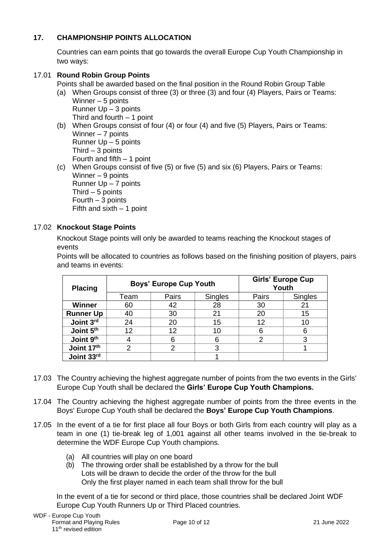#### **17. CHAMPIONSHIP POINTS ALLOCATION**

Countries can earn points that go towards the overall Europe Cup Youth Championship in two ways:

#### 17.01 **Round Robin Group Points**

Points shall be awarded based on the final position in the Round Robin Group Table

- (a) When Groups consist of three (3) or three (3) and four (4) Players, Pairs or Teams: Winner – 5 points Runner Up – 3 points Third and fourth – 1 point
- (b) When Groups consist of four (4) or four (4) and five (5) Players, Pairs or Teams: Winner – 7 points Runner Up – 5 points Third  $-3$  points Fourth and fifth – 1 point
- (c) When Groups consist of five (5) or five (5) and six (6) Players, Pairs or Teams: Winner – 9 points Runner Up – 7 points Third  $-5$  points Fourth – 3 points Fifth and sixth – 1 point

#### 17.02 **Knockout Stage Points**

Knockout Stage points will only be awarded to teams reaching the Knockout stages of events

Points will be allocated to countries as follows based on the finishing position of players, pairs and teams in events:

| <b>Placing</b>        |      | <b>Boys' Europe Cup Youth</b> | <b>Girls' Europe Cup</b><br>Youth |       |  |
|-----------------------|------|-------------------------------|-----------------------------------|-------|--|
|                       | Team | <b>Pairs</b>                  | Singles                           | Pairs |  |
| Winner                |      |                               |                                   |       |  |
| <b>Runner Up</b>      |      |                               |                                   |       |  |
| Joint 3rd             |      |                               |                                   |       |  |
| Joint 5th             |      |                               |                                   |       |  |
| Joint 9 <sup>th</sup> |      |                               |                                   |       |  |
| Joint 17th            |      |                               |                                   |       |  |
| Joint 33rd            |      |                               |                                   |       |  |

- 17.03 The Country achieving the highest aggregate number of points from the two events in the Girls' Europe Cup Youth shall be declared the **Girls' Europe Cup Youth Champions.**
- 17.04 The Country achieving the highest aggregate number of points from the three events in the Boys' Europe Cup Youth shall be declared the **Boys' Europe Cup Youth Champions**.
- 17.05 In the event of a tie for first place all four Boys or both Girls from each country will play as a team in one (1) tie-break leg of 1,001 against all other teams involved in the tie-break to determine the WDF Europe Cup Youth champions.
	- (a) All countries will play on one board
	- (b) The throwing order shall be established by a throw for the bull Lots will be drawn to decide the order of the throw for the bull Only the first player named in each team shall throw for the bull

In the event of a tie for second or third place, those countries shall be declared Joint WDF Europe Cup Youth Runners Up or Third Placed countries.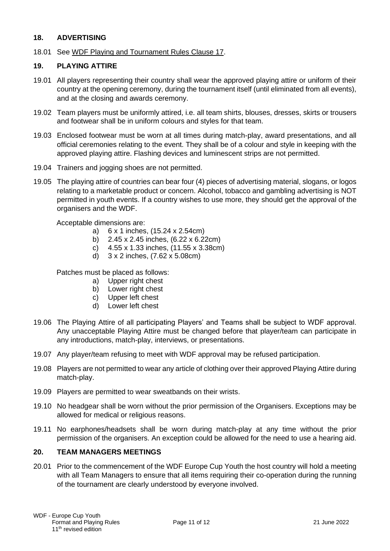#### **18. ADVERTISING**

#### 18.01 See [WDF Playing and Tournament Rules Clause 17.](https://www.dartswdf.com/rules/)

#### **19. PLAYING ATTIRE**

- 19.01 All players representing their country shall wear the approved playing attire or uniform of their country at the opening ceremony, during the tournament itself (until eliminated from all events), and at the closing and awards ceremony.
- 19.02 Team players must be uniformly attired, i.e. all team shirts, blouses, dresses, skirts or trousers and footwear shall be in uniform colours and styles for that team.
- 19.03 Enclosed footwear must be worn at all times during match-play, award presentations, and all official ceremonies relating to the event. They shall be of a colour and style in keeping with the approved playing attire. Flashing devices and luminescent strips are not permitted.
- 19.04 Trainers and jogging shoes are not permitted.
- 19.05 The playing attire of countries can bear four (4) pieces of advertising material, slogans, or logos relating to a marketable product or concern. Alcohol, tobacco and gambling advertising is NOT permitted in youth events. If a country wishes to use more, they should get the approval of the organisers and the WDF.

Acceptable dimensions are:

- a) 6 x 1 inches, (15.24 x 2.54cm)
- b) 2.45 x 2.45 inches, (6.22 x 6.22cm)
- c) 4.55 x 1.33 inches, (11.55 x 3.38cm)
- d) 3 x 2 inches, (7.62 x 5.08cm)

Patches must be placed as follows:

- a) Upper right chest
- b) Lower right chest
- c) Upper left chest
- d) Lower left chest
- 19.06 The Playing Attire of all participating Players' and Teams shall be subject to WDF approval. Any unacceptable Playing Attire must be changed before that player/team can participate in any introductions, match-play, interviews, or presentations.
- 19.07 Any player/team refusing to meet with WDF approval may be refused participation.
- 19.08 Players are not permitted to wear any article of clothing over their approved Playing Attire during match-play.
- 19.09 Players are permitted to wear sweatbands on their wrists.
- 19.10 No headgear shall be worn without the prior permission of the Organisers. Exceptions may be allowed for medical or religious reasons.
- 19.11 No earphones/headsets shall be worn during match-play at any time without the prior permission of the organisers. An exception could be allowed for the need to use a hearing aid.

#### **20. TEAM MANAGERS MEETINGS**

20.01 Prior to the commencement of the WDF Europe Cup Youth the host country will hold a meeting with all Team Managers to ensure that all items requiring their co-operation during the running of the tournament are clearly understood by everyone involved.